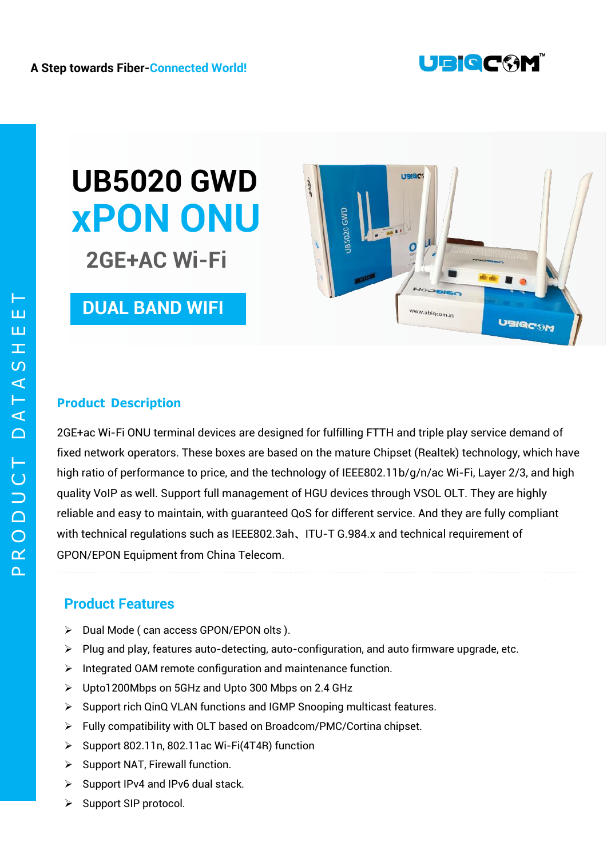

# **2GE+AC Wi-Fi UB5020 GWD xPON ONU**

# **DUAL BAND WIFI**



#### **Product Description**

2GE+ac Wi-Fi ONU terminal devices are designed for fulfilling FTTH and triple play service demand of fixed network operators. These boxes are based on the mature Chipset (Realtek) technology, which have high ratio of performance to price, and the technology of IEEE802.11b/g/n/ac Wi-Fi, Layer 2/3, and high quality VoIP as well. Support full management of HGU devices through VSOL OLT. They are highly reliable and easy to maintain, with guaranteed QoS for different service. And they are fully compliant with technical regulations such as IEEE802.3ah、ITU-T G.984.x and technical requirement of GPON/EPON Equipment from China Telecom.

#### **Product Features**

- > Dual Mode ( can access GPON/EPON olts ).
- $\triangleright$  Plug and play, features auto-detecting, auto-configuration, and auto firmware upgrade, etc.
- $\triangleright$  Integrated OAM remote configuration and maintenance function.
- Upto1200Mbps on 5GHz and Upto 300 Mbps on 2.4 GHz
- $\triangleright$  Support rich QinQ VLAN functions and IGMP Snooping multicast features.
- $\triangleright$  Fully compatibility with OLT based on Broadcom/PMC/Cortina chipset.
- Support 802.11n, 802.11ac Wi-Fi(4T4R) function
- $\triangleright$  Support NAT, Firewall function.
- $\triangleright$  Support IPv4 and IPv6 dual stack.
- Support SIP protocol.